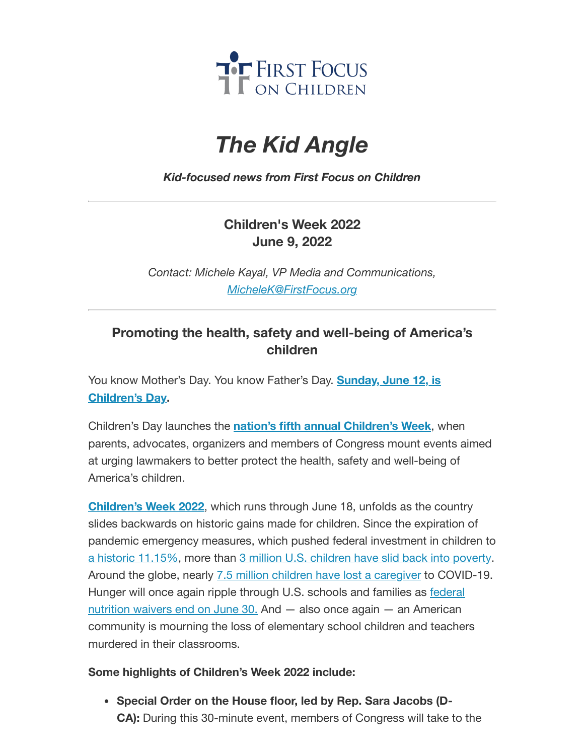

# *The Kid Angle*

#### *Kid-focused news from First Focus on Children*

## **Children's Week 2022 June 9, 2022**

*Contact: Michele Kayal, VP Media and Communications, [MicheleK@FirstFocus.org](mailto:MicheleK@firstfocus.org)*

## **Promoting the health, safety and well-being of America's children**

You know [Mother's Day.](https://action.campaignforchildren.org/r?u=_ito3HrV5Dhq0fGdC7A5TsbLN_ntE8e3ax7MfiUNWvOnpYh15xfvoNsVShCXzItwKNMvY9W_FVlqww6ahFm7Sood3j8ZfsMqOHK2VhmckSM&e=6d50ef9bac605c372bd31a2e7c9cacfd&utm_source=ffcc&utm_medium=email&utm_campaign=_104_childrens_week&n=2&test_email=1) You know Father's Day. **Sunday, June 12, is Children's Day.**

Children's Day launches the **nation's fifth annual [Children's](https://action.campaignforchildren.org/r?u=FzF-KU0ygDWc21UK_uySehjnDVvJ8rHnwbqszBbcPIBP0pojyunZaoHb0g6_BGo4&e=6d50ef9bac605c372bd31a2e7c9cacfd&utm_source=ffcc&utm_medium=email&utm_campaign=_104_childrens_week&n=3&test_email=1) Week**, when parents, advocates, organizers and members of Congress mount events aimed at urging lawmakers to better protect the health, safety and well-being of America's children.

**[Children's](https://action.campaignforchildren.org/r?u=FzF-KU0ygDWc21UK_uySehjnDVvJ8rHnwbqszBbcPIBP0pojyunZaoHb0g6_BGo4&e=6d50ef9bac605c372bd31a2e7c9cacfd&utm_source=ffcc&utm_medium=email&utm_campaign=_104_childrens_week&n=4&test_email=1) Week 2022**, which runs through June 18, unfolds as the country slides backwards on historic gains made for children. Since the expiration of pandemic emergency measures, which pushed federal investment in children to a historic [11.15%,](https://action.campaignforchildren.org/r?u=FzF-KU0ygDWc21UK_uySejzGzcNIqw_uw330mZshTaj_SEITh-uobp4jSbwsYEDSPVXFvJjyJ5gyGLscJWb2dQ&e=6d50ef9bac605c372bd31a2e7c9cacfd&utm_source=ffcc&utm_medium=email&utm_campaign=_104_childrens_week&n=5&test_email=1) more than 3 million U.S. [children](https://action.campaignforchildren.org/r?u=UmPwcm28_uDg6gTj_jN0OFQGFP1Darjs7xjyaWV7fPoW0wW7pUMncsBKjf_IaRhN4Wyn0RyGFH5ptwQLOYwOxdi17P5QzH9oouhWbHCF_FaTGVQFevgMQzRkRgHltFsv&e=6d50ef9bac605c372bd31a2e7c9cacfd&utm_source=ffcc&utm_medium=email&utm_campaign=_104_childrens_week&n=6&test_email=1) have slid back into poverty. Around the globe, nearly 7.5 million children have lost a [caregiver](https://action.campaignforchildren.org/r?u=EtwPAQlyomc4YLfIIdf97uTZUTVwD3VRAF4yWCKqbVTkDVo3EFDYSO9ywQlpXLtzUC6k4cNiqSaHBq0RlfvDPD92DhDF0mbvmo0OY3swkX0&e=6d50ef9bac605c372bd31a2e7c9cacfd&utm_source=ffcc&utm_medium=email&utm_campaign=_104_childrens_week&n=7&test_email=1) to COVID-19. Hunger will once again ripple through U.S. schools and families as **federal** nutrition waivers end on June 30. And — also once again — an American community is mourning the loss of elementary school children and teachers murdered in their classrooms.

#### **Some highlights of Children's Week 2022 include:**

**Special Order on the House floor, led by Rep. Sara Jacobs (D-CA):** During this 30-minute event, members of Congress will take to the